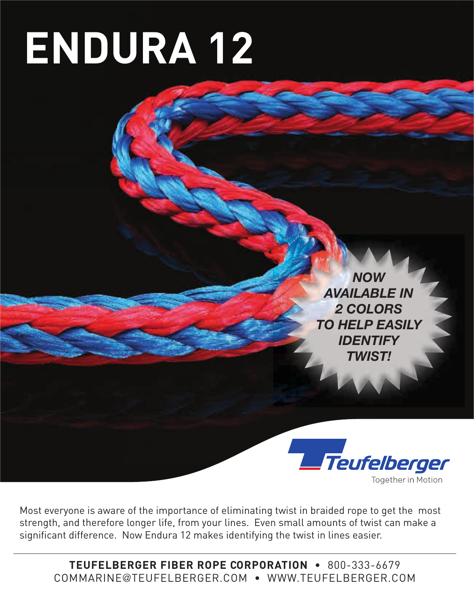# **ENDURA 12**

*NOW AVAILABLE IN 2 COLORS TO HELP EASILY IDENTIFY TWIST!*



Most everyone is aware of the importance of eliminating twist in braided rope to get the most strength, and therefore longer life, from your lines. Even small amounts of twist can make a significant difference. Now Endura 12 makes identifying the twist in lines easier.

**TEUFELBERGER FIBER ROPE CORPORATION** • 800-333-6679 COMMARINE@TEUFELBERGER.COM • WWW.TEUFELBERGER.COM